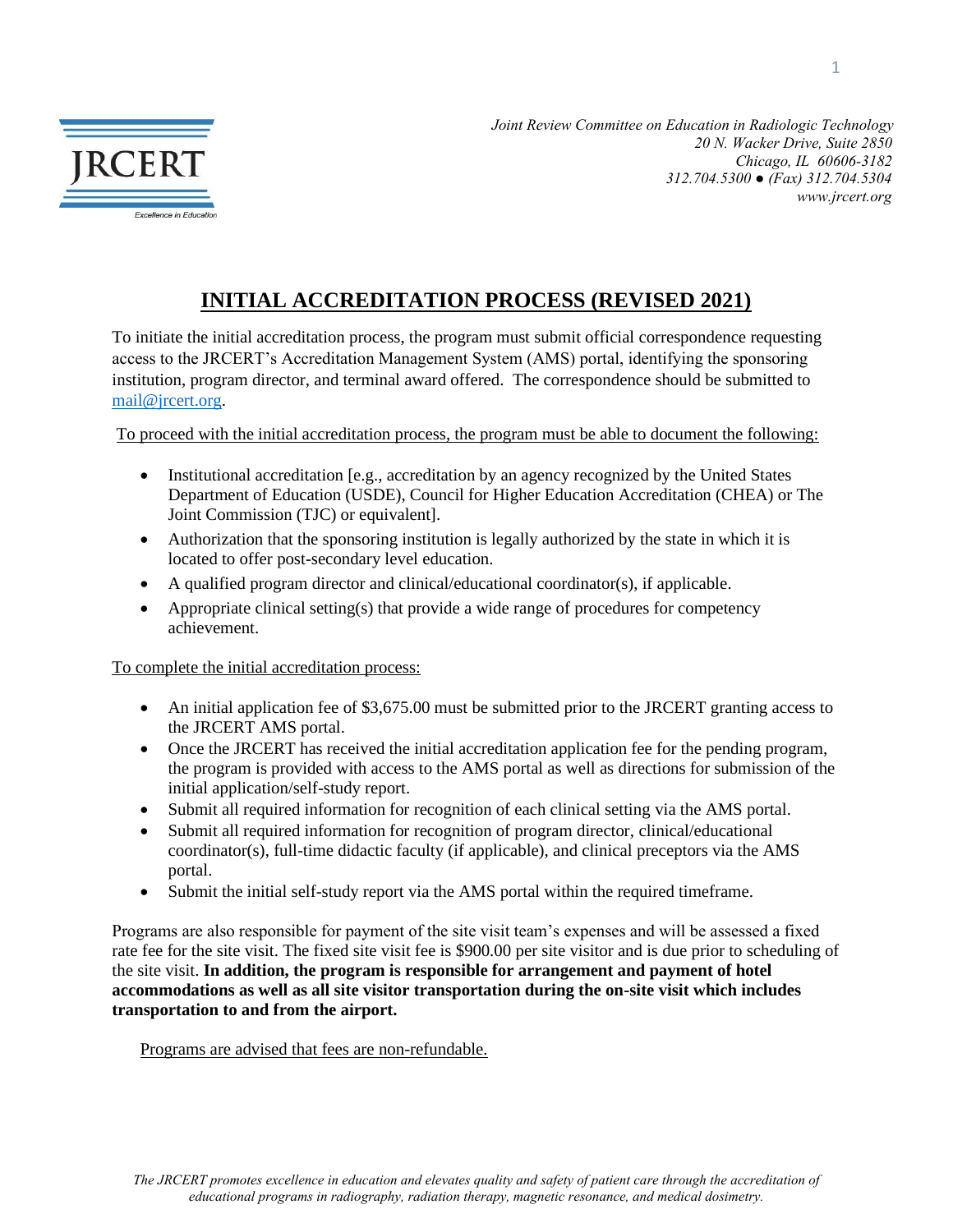

*Joint Review Committee on Education in Radiologic Technology 20 N. Wacker Drive, Suite 2850 Chicago, IL 60606-3182 312.704.5300 ● (Fax) 312.704.5304 www.jrcert.org* 

## **INITIAL ACCREDITATION PROCESS (REVISED 2021)**

To initiate the initial accreditation process, the program must submit official correspondence requesting access to the JRCERT's Accreditation Management System (AMS) portal, identifying the sponsoring institution, program director, and terminal award offered. The correspondence should be submitted to [mail@jrcert.org.](mailto:mail@jrcert.org)

To proceed with the initial accreditation process, the program must be able to document the following:

- Institutional accreditation [e.g., accreditation by an agency recognized by the United States Department of Education (USDE), Council for Higher Education Accreditation (CHEA) or The Joint Commission (TJC) or equivalent].
- Authorization that the sponsoring institution is legally authorized by the state in which it is located to offer post-secondary level education.
- A qualified program director and clinical/educational coordinator(s), if applicable.
- Appropriate clinical setting(s) that provide a wide range of procedures for competency achievement.

To complete the initial accreditation process:

- An initial application fee of \$3,675.00 must be submitted prior to the JRCERT granting access to the JRCERT AMS portal.
- Once the JRCERT has received the initial accreditation application fee for the pending program, the program is provided with access to the AMS portal as well as directions for submission of the initial application/self-study report.
- Submit all required information for recognition of each clinical setting via the AMS portal.
- Submit all required information for recognition of program director, clinical/educational coordinator(s), full-time didactic faculty (if applicable), and clinical preceptors via the AMS portal.
- Submit the initial self-study report via the AMS portal within the required timeframe.

Programs are also responsible for payment of the site visit team's expenses and will be assessed a fixed rate fee for the site visit. The fixed site visit fee is \$900.00 per site visitor and is due prior to scheduling of the site visit. **In addition, the program is responsible for arrangement and payment of hotel accommodations as well as all site visitor transportation during the on-site visit which includes transportation to and from the airport.**

Programs are advised that fees are non-refundable.